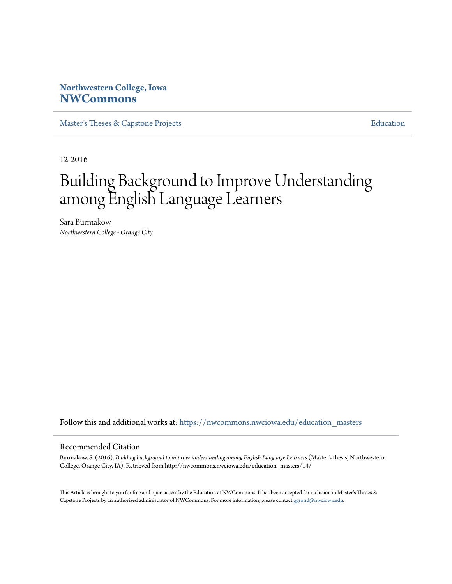## **Northwestern College, Iowa [NWCommons](https://nwcommons.nwciowa.edu?utm_source=nwcommons.nwciowa.edu%2Feducation_masters%2F14&utm_medium=PDF&utm_campaign=PDFCoverPages)**

[Master's Theses & Capstone Projects](https://nwcommons.nwciowa.edu/education_masters?utm_source=nwcommons.nwciowa.edu%2Feducation_masters%2F14&utm_medium=PDF&utm_campaign=PDFCoverPages) [Education](https://nwcommons.nwciowa.edu/education?utm_source=nwcommons.nwciowa.edu%2Feducation_masters%2F14&utm_medium=PDF&utm_campaign=PDFCoverPages)

12-2016

# Building Background to Improve Understanding among English Language Learners

Sara Burmakow *Northwestern College - Orange City*

Follow this and additional works at: [https://nwcommons.nwciowa.edu/education\\_masters](https://nwcommons.nwciowa.edu/education_masters?utm_source=nwcommons.nwciowa.edu%2Feducation_masters%2F14&utm_medium=PDF&utm_campaign=PDFCoverPages)

## Recommended Citation

Burmakow, S. (2016). *Building background to improve understanding among English Language Learners* (Master's thesis, Northwestern College, Orange City, IA). Retrieved from http://nwcommons.nwciowa.edu/education\_masters/14/

This Article is brought to you for free and open access by the Education at NWCommons. It has been accepted for inclusion in Master's Theses & Capstone Projects by an authorized administrator of NWCommons. For more information, please contact [ggrond@nwciowa.edu.](mailto:ggrond@nwciowa.edu)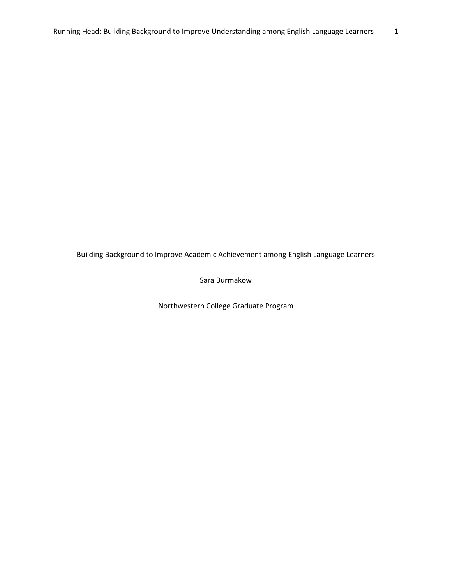Building Background to Improve Academic Achievement among English Language Learners

Sara Burmakow

Northwestern College Graduate Program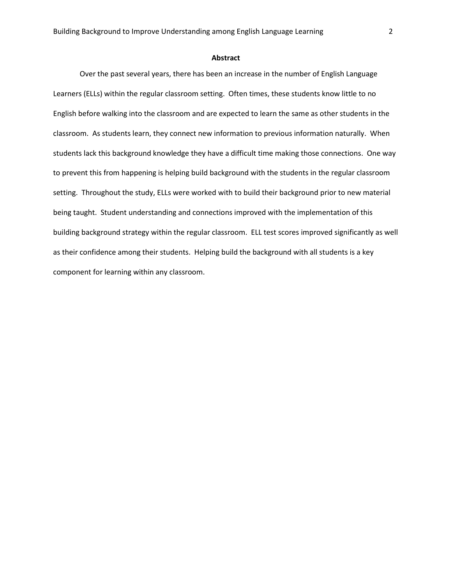#### **Abstract**

Over the past several years, there has been an increase in the number of English Language Learners (ELLs) within the regular classroom setting. Often times, these students know little to no English before walking into the classroom and are expected to learn the same as other students in the classroom. As students learn, they connect new information to previous information naturally. When students lack this background knowledge they have a difficult time making those connections. One way to prevent this from happening is helping build background with the students in the regular classroom setting. Throughout the study, ELLs were worked with to build their background prior to new material being taught. Student understanding and connections improved with the implementation of this building background strategy within the regular classroom. ELL test scores improved significantly as well as their confidence among their students. Helping build the background with all students is a key component for learning within any classroom.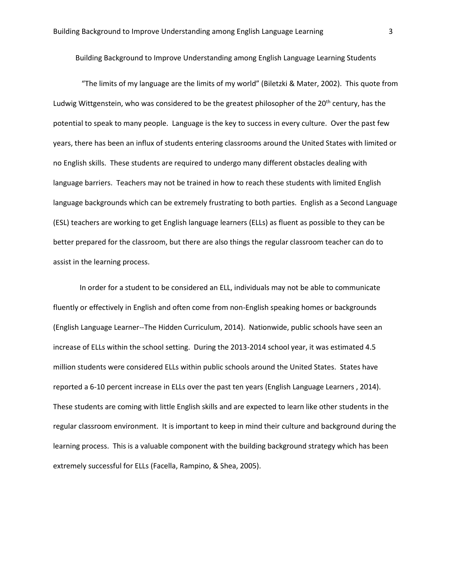Building Background to Improve Understanding among English Language Learning Students

"The limits of my language are the limits of my world" (Biletzki & Mater, 2002). This quote from Ludwig Wittgenstein, who was considered to be the greatest philosopher of the 20<sup>th</sup> century, has the potential to speak to many people. Language is the key to success in every culture. Over the past few years, there has been an influx of students entering classrooms around the United States with limited or no English skills. These students are required to undergo many different obstacles dealing with language barriers. Teachers may not be trained in how to reach these students with limited English language backgrounds which can be extremely frustrating to both parties. English as a Second Language (ESL) teachers are working to get English language learners (ELLs) as fluent as possible to they can be better prepared for the classroom, but there are also things the regular classroom teacher can do to assist in the learning process.

In order for a student to be considered an ELL, individuals may not be able to communicate fluently or effectively in English and often come from non-English speaking homes or backgrounds (English Language Learner--The Hidden Curriculum, 2014). Nationwide, public schools have seen an increase of ELLs within the school setting. During the 2013-2014 school year, it was estimated 4.5 million students were considered ELLs within public schools around the United States. States have reported a 6-10 percent increase in ELLs over the past ten years (English Language Learners , 2014). These students are coming with little English skills and are expected to learn like other students in the regular classroom environment. It is important to keep in mind their culture and background during the learning process. This is a valuable component with the building background strategy which has been extremely successful for ELLs (Facella, Rampino, & Shea, 2005).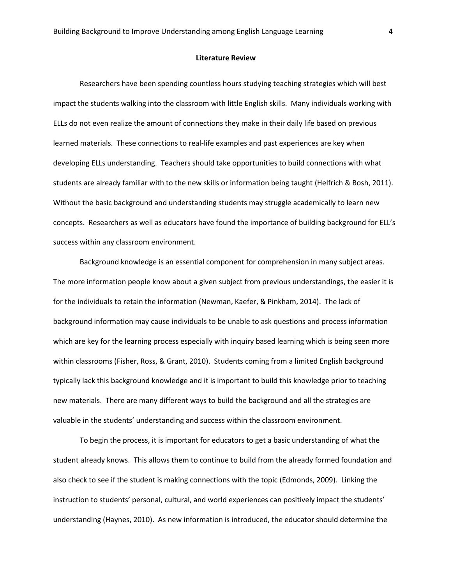#### **Literature Review**

Researchers have been spending countless hours studying teaching strategies which will best impact the students walking into the classroom with little English skills. Many individuals working with ELLs do not even realize the amount of connections they make in their daily life based on previous learned materials. These connections to real-life examples and past experiences are key when developing ELLs understanding. Teachers should take opportunities to build connections with what students are already familiar with to the new skills or information being taught (Helfrich & Bosh, 2011). Without the basic background and understanding students may struggle academically to learn new concepts. Researchers as well as educators have found the importance of building background for ELL's success within any classroom environment.

Background knowledge is an essential component for comprehension in many subject areas. The more information people know about a given subject from previous understandings, the easier it is for the individuals to retain the information (Newman, Kaefer, & Pinkham, 2014). The lack of background information may cause individuals to be unable to ask questions and process information which are key for the learning process especially with inquiry based learning which is being seen more within classrooms (Fisher, Ross, & Grant, 2010). Students coming from a limited English background typically lack this background knowledge and it is important to build this knowledge prior to teaching new materials. There are many different ways to build the background and all the strategies are valuable in the students' understanding and success within the classroom environment.

To begin the process, it is important for educators to get a basic understanding of what the student already knows. This allows them to continue to build from the already formed foundation and also check to see if the student is making connections with the topic (Edmonds, 2009). Linking the instruction to students' personal, cultural, and world experiences can positively impact the students' understanding (Haynes, 2010). As new information is introduced, the educator should determine the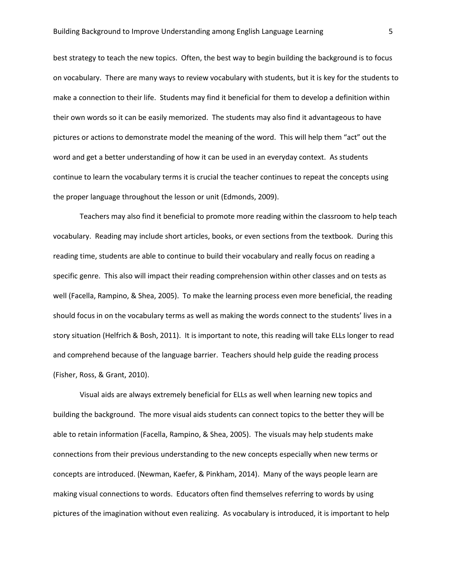best strategy to teach the new topics. Often, the best way to begin building the background is to focus on vocabulary. There are many ways to review vocabulary with students, but it is key for the students to make a connection to their life. Students may find it beneficial for them to develop a definition within their own words so it can be easily memorized. The students may also find it advantageous to have pictures or actions to demonstrate model the meaning of the word. This will help them "act" out the word and get a better understanding of how it can be used in an everyday context. As students continue to learn the vocabulary terms it is crucial the teacher continues to repeat the concepts using the proper language throughout the lesson or unit (Edmonds, 2009).

Teachers may also find it beneficial to promote more reading within the classroom to help teach vocabulary. Reading may include short articles, books, or even sections from the textbook. During this reading time, students are able to continue to build their vocabulary and really focus on reading a specific genre. This also will impact their reading comprehension within other classes and on tests as well (Facella, Rampino, & Shea, 2005). To make the learning process even more beneficial, the reading should focus in on the vocabulary terms as well as making the words connect to the students' lives in a story situation (Helfrich & Bosh, 2011). It is important to note, this reading will take ELLs longer to read and comprehend because of the language barrier. Teachers should help guide the reading process (Fisher, Ross, & Grant, 2010).

Visual aids are always extremely beneficial for ELLs as well when learning new topics and building the background. The more visual aids students can connect topics to the better they will be able to retain information (Facella, Rampino, & Shea, 2005). The visuals may help students make connections from their previous understanding to the new concepts especially when new terms or concepts are introduced. (Newman, Kaefer, & Pinkham, 2014). Many of the ways people learn are making visual connections to words. Educators often find themselves referring to words by using pictures of the imagination without even realizing. As vocabulary is introduced, it is important to help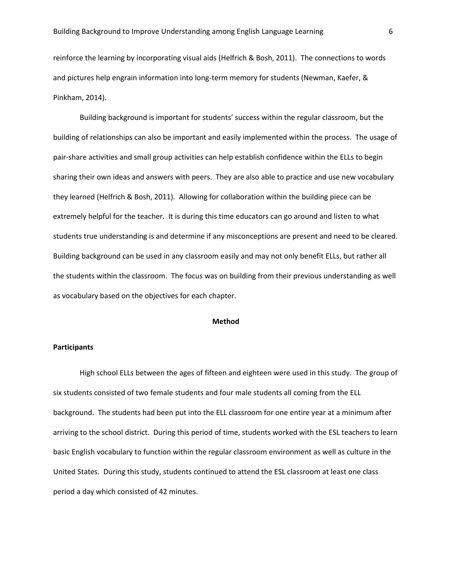reinforce the learning by incorporating visual aids (Helfrich & Bosh, 2011). The connections to words and pictures help engrain information into long-term memory for students (Newman, Kaefer, & Pinkham, 2014).

Building background is important for students' success within the regular classroom, but the building of relationships can also be important and easily implemented within the process. The usage of pair-share activities and small group activities can help establish confidence within the ELLs to begin sharing their own ideas and answers with peers. They are also able to practice and use new vocabulary they learned (Helfrich & Bosh, 2011). Allowing for collaboration within the building piece can be extremely helpful for the teacher. It is during this time educators can go around and listen to what students true understanding is and determine if any misconceptions are present and need to be cleared. Building background can be used in any classroom easily and may not only benefit ELLs, but rather all the students within the classroom. The focus was on building from their previous understanding as well as vocabulary based on the objectives for each chapter.

#### **Method**

## **Participants**

High school ELLs between the ages of fifteen and eighteen were used in this study. The group of six students consisted of two female students and four male students all coming from the ELL background. The students had been put into the ELL classroom for one entire year at a minimum after arriving to the school district. During this period of time, students worked with the ESL teachers to learn basic English vocabulary to function within the regular classroom environment as well as culture in the United States. During this study, students continued to attend the ESL classroom at least one class period a day which consisted of 42 minutes.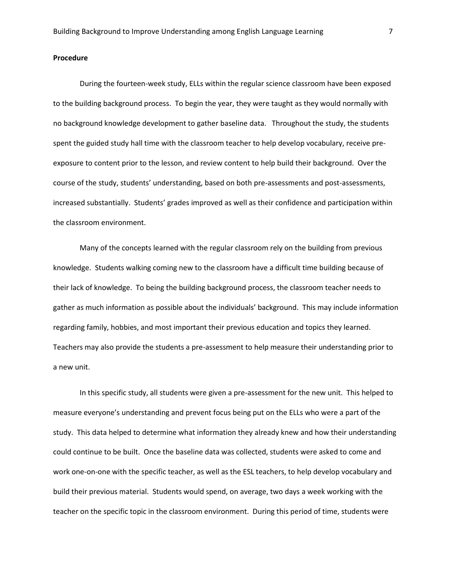## **Procedure**

During the fourteen-week study, ELLs within the regular science classroom have been exposed to the building background process. To begin the year, they were taught as they would normally with no background knowledge development to gather baseline data. Throughout the study, the students spent the guided study hall time with the classroom teacher to help develop vocabulary, receive preexposure to content prior to the lesson, and review content to help build their background. Over the course of the study, students' understanding, based on both pre-assessments and post-assessments, increased substantially. Students' grades improved as well as their confidence and participation within the classroom environment.

Many of the concepts learned with the regular classroom rely on the building from previous knowledge. Students walking coming new to the classroom have a difficult time building because of their lack of knowledge. To being the building background process, the classroom teacher needs to gather as much information as possible about the individuals' background. This may include information regarding family, hobbies, and most important their previous education and topics they learned. Teachers may also provide the students a pre-assessment to help measure their understanding prior to a new unit.

In this specific study, all students were given a pre-assessment for the new unit. This helped to measure everyone's understanding and prevent focus being put on the ELLs who were a part of the study. This data helped to determine what information they already knew and how their understanding could continue to be built. Once the baseline data was collected, students were asked to come and work one-on-one with the specific teacher, as well as the ESL teachers, to help develop vocabulary and build their previous material. Students would spend, on average, two days a week working with the teacher on the specific topic in the classroom environment. During this period of time, students were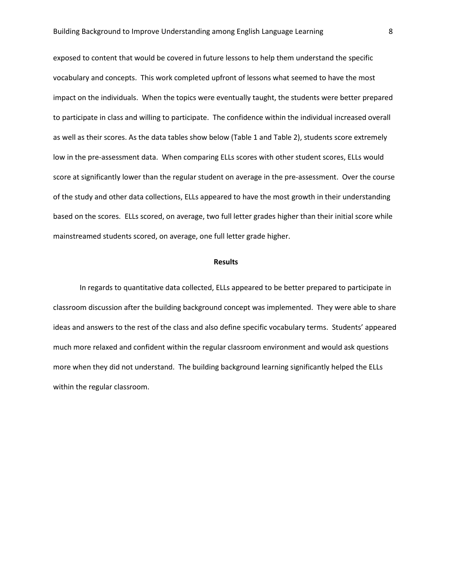exposed to content that would be covered in future lessons to help them understand the specific vocabulary and concepts. This work completed upfront of lessons what seemed to have the most impact on the individuals. When the topics were eventually taught, the students were better prepared to participate in class and willing to participate. The confidence within the individual increased overall as well as their scores. As the data tables show below (Table 1 and Table 2), students score extremely low in the pre-assessment data. When comparing ELLs scores with other student scores, ELLs would score at significantly lower than the regular student on average in the pre-assessment. Over the course of the study and other data collections, ELLs appeared to have the most growth in their understanding based on the scores. ELLs scored, on average, two full letter grades higher than their initial score while mainstreamed students scored, on average, one full letter grade higher.

#### **Results**

In regards to quantitative data collected, ELLs appeared to be better prepared to participate in classroom discussion after the building background concept was implemented. They were able to share ideas and answers to the rest of the class and also define specific vocabulary terms. Students' appeared much more relaxed and confident within the regular classroom environment and would ask questions more when they did not understand. The building background learning significantly helped the ELLs within the regular classroom.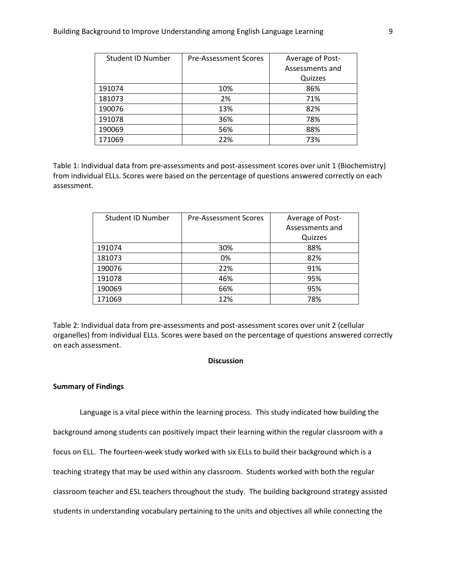| Student ID Number | <b>Pre-Assessment Scores</b> | Average of Post- |
|-------------------|------------------------------|------------------|
|                   |                              | Assessments and  |
|                   |                              | Quizzes          |
| 191074            | 10%                          | 86%              |
| 181073            | 2%                           | 71%              |
| 190076            | 13%                          | 82%              |
| 191078            | 36%                          | 78%              |
| 190069            | 56%                          | 88%              |
| 171069            | 22%                          | 73%              |

Table 1: Individual data from pre-assessments and post-assessment scores over unit 1 (Biochemistry) from individual ELLs. Scores were based on the percentage of questions answered correctly on each assessment.

| Student ID Number | <b>Pre-Assessment Scores</b> | Average of Post- |
|-------------------|------------------------------|------------------|
|                   |                              | Assessments and  |
|                   |                              | Quizzes          |
| 191074            | 30%                          | 88%              |
| 181073            | 0%                           | 82%              |
| 190076            | 22%                          | 91%              |
| 191078            | 46%                          | 95%              |
| 190069            | 66%                          | 95%              |
| 171069            | 12%                          | 78%              |

Table 2: Individual data from pre-assessments and post-assessment scores over unit 2 (cellular organelles) from individual ELLs. Scores were based on the percentage of questions answered correctly on each assessment.

## **Discussion**

#### **Summary of Findings**

Language is a vital piece within the learning process. This study indicated how building the background among students can positively impact their learning within the regular classroom with a focus on ELL. The fourteen-week study worked with six ELLs to build their background which is a teaching strategy that may be used within any classroom. Students worked with both the regular classroom teacher and ESL teachers throughout the study. The building background strategy assisted students in understanding vocabulary pertaining to the units and objectives all while connecting the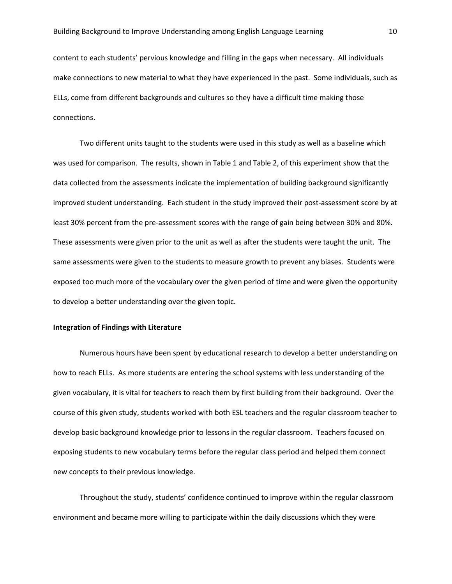content to each students' pervious knowledge and filling in the gaps when necessary. All individuals make connections to new material to what they have experienced in the past. Some individuals, such as ELLs, come from different backgrounds and cultures so they have a difficult time making those connections.

Two different units taught to the students were used in this study as well as a baseline which was used for comparison. The results, shown in Table 1 and Table 2, of this experiment show that the data collected from the assessments indicate the implementation of building background significantly improved student understanding. Each student in the study improved their post-assessment score by at least 30% percent from the pre-assessment scores with the range of gain being between 30% and 80%. These assessments were given prior to the unit as well as after the students were taught the unit. The same assessments were given to the students to measure growth to prevent any biases. Students were exposed too much more of the vocabulary over the given period of time and were given the opportunity to develop a better understanding over the given topic.

## **Integration of Findings with Literature**

Numerous hours have been spent by educational research to develop a better understanding on how to reach ELLs. As more students are entering the school systems with less understanding of the given vocabulary, it is vital for teachers to reach them by first building from their background. Over the course of this given study, students worked with both ESL teachers and the regular classroom teacher to develop basic background knowledge prior to lessons in the regular classroom. Teachers focused on exposing students to new vocabulary terms before the regular class period and helped them connect new concepts to their previous knowledge.

Throughout the study, students' confidence continued to improve within the regular classroom environment and became more willing to participate within the daily discussions which they were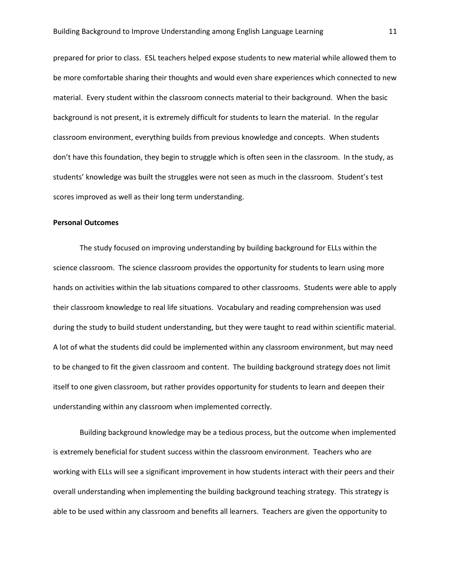prepared for prior to class. ESL teachers helped expose students to new material while allowed them to be more comfortable sharing their thoughts and would even share experiences which connected to new material. Every student within the classroom connects material to their background. When the basic background is not present, it is extremely difficult for students to learn the material. In the regular classroom environment, everything builds from previous knowledge and concepts. When students don't have this foundation, they begin to struggle which is often seen in the classroom. In the study, as students' knowledge was built the struggles were not seen as much in the classroom. Student's test scores improved as well as their long term understanding.

#### **Personal Outcomes**

The study focused on improving understanding by building background for ELLs within the science classroom. The science classroom provides the opportunity for students to learn using more hands on activities within the lab situations compared to other classrooms. Students were able to apply their classroom knowledge to real life situations. Vocabulary and reading comprehension was used during the study to build student understanding, but they were taught to read within scientific material. A lot of what the students did could be implemented within any classroom environment, but may need to be changed to fit the given classroom and content. The building background strategy does not limit itself to one given classroom, but rather provides opportunity for students to learn and deepen their understanding within any classroom when implemented correctly.

Building background knowledge may be a tedious process, but the outcome when implemented is extremely beneficial for student success within the classroom environment. Teachers who are working with ELLs will see a significant improvement in how students interact with their peers and their overall understanding when implementing the building background teaching strategy. This strategy is able to be used within any classroom and benefits all learners. Teachers are given the opportunity to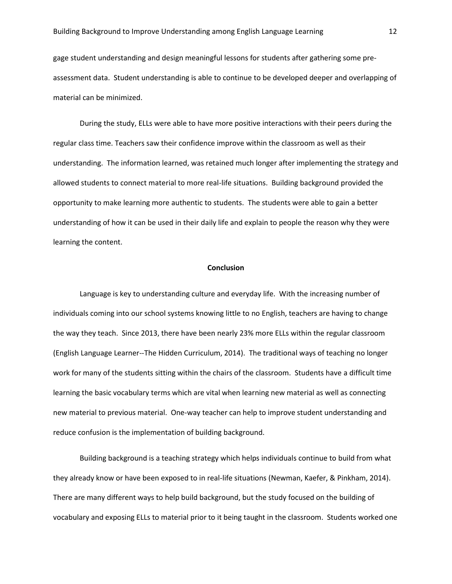gage student understanding and design meaningful lessons for students after gathering some preassessment data. Student understanding is able to continue to be developed deeper and overlapping of material can be minimized.

During the study, ELLs were able to have more positive interactions with their peers during the regular class time. Teachers saw their confidence improve within the classroom as well as their understanding. The information learned, was retained much longer after implementing the strategy and allowed students to connect material to more real-life situations. Building background provided the opportunity to make learning more authentic to students. The students were able to gain a better understanding of how it can be used in their daily life and explain to people the reason why they were learning the content.

## **Conclusion**

Language is key to understanding culture and everyday life. With the increasing number of individuals coming into our school systems knowing little to no English, teachers are having to change the way they teach. Since 2013, there have been nearly 23% more ELLs within the regular classroom (English Language Learner--The Hidden Curriculum, 2014). The traditional ways of teaching no longer work for many of the students sitting within the chairs of the classroom. Students have a difficult time learning the basic vocabulary terms which are vital when learning new material as well as connecting new material to previous material. One-way teacher can help to improve student understanding and reduce confusion is the implementation of building background.

Building background is a teaching strategy which helps individuals continue to build from what they already know or have been exposed to in real-life situations (Newman, Kaefer, & Pinkham, 2014). There are many different ways to help build background, but the study focused on the building of vocabulary and exposing ELLs to material prior to it being taught in the classroom. Students worked one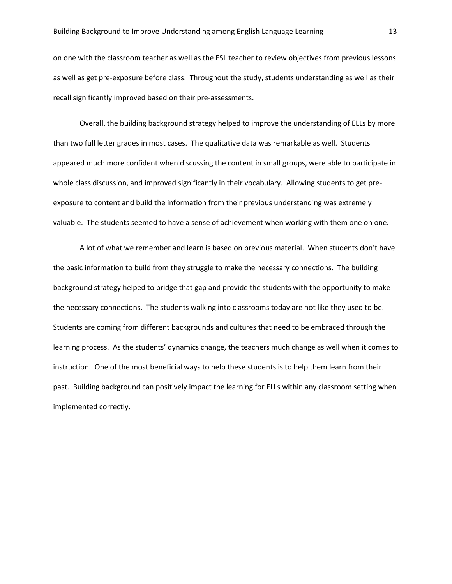on one with the classroom teacher as well as the ESL teacher to review objectives from previous lessons as well as get pre-exposure before class. Throughout the study, students understanding as well as their recall significantly improved based on their pre-assessments.

Overall, the building background strategy helped to improve the understanding of ELLs by more than two full letter grades in most cases. The qualitative data was remarkable as well. Students appeared much more confident when discussing the content in small groups, were able to participate in whole class discussion, and improved significantly in their vocabulary. Allowing students to get preexposure to content and build the information from their previous understanding was extremely valuable. The students seemed to have a sense of achievement when working with them one on one.

A lot of what we remember and learn is based on previous material. When students don't have the basic information to build from they struggle to make the necessary connections. The building background strategy helped to bridge that gap and provide the students with the opportunity to make the necessary connections. The students walking into classrooms today are not like they used to be. Students are coming from different backgrounds and cultures that need to be embraced through the learning process. As the students' dynamics change, the teachers much change as well when it comes to instruction. One of the most beneficial ways to help these students is to help them learn from their past. Building background can positively impact the learning for ELLs within any classroom setting when implemented correctly.